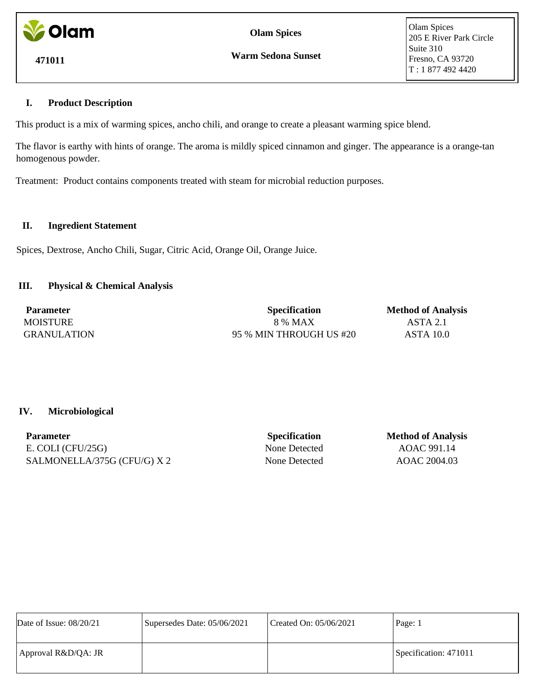

**Olam Spices**

**Warm Sedona Sunset**

Olam Spices 205 E River Park Circle Suite 310 Fresno, CA 93720 T : 1 877 492 4420

# **I. Product Description**

This product is a mix of warming spices, ancho chili, and orange to create a pleasant warming spice blend.

The flavor is earthy with hints of orange. The aroma is mildly spiced cinnamon and ginger. The appearance is a orange-tan homogenous powder.

Treatment: Product contains components treated with steam for microbial reduction purposes.

### **II. Ingredient Statement**

Spices, Dextrose, Ancho Chili, Sugar, Citric Acid, Orange Oil, Orange Juice.

# **III. Physical & Chemical Analysis**

| <b>Parameter</b>   | <b>Specification</b>    | <b>Method of Analysis</b> |
|--------------------|-------------------------|---------------------------|
| <b>MOISTURE</b>    | 8 % MAX                 | ASTA 2.1                  |
| <b>GRANULATION</b> | 95 % MIN THROUGH US #20 | ASTA 10.0                 |

## **IV. Microbiological**

| <b>Parameter</b>            |
|-----------------------------|
| E. COLI $(CFU/25G)$         |
| SALMONELLA/375G (CFU/G) X 2 |

**Specification Method of Analysis** None Detected AOAC 991.14 None Detected AOAC 2004.03

| Date of Issue: $08/20/21$ | Supersedes Date: 05/06/2021 | Created On: 05/06/2021 | Page: 1               |
|---------------------------|-----------------------------|------------------------|-----------------------|
| Approval R&D/QA: JR       |                             |                        | Specification: 471011 |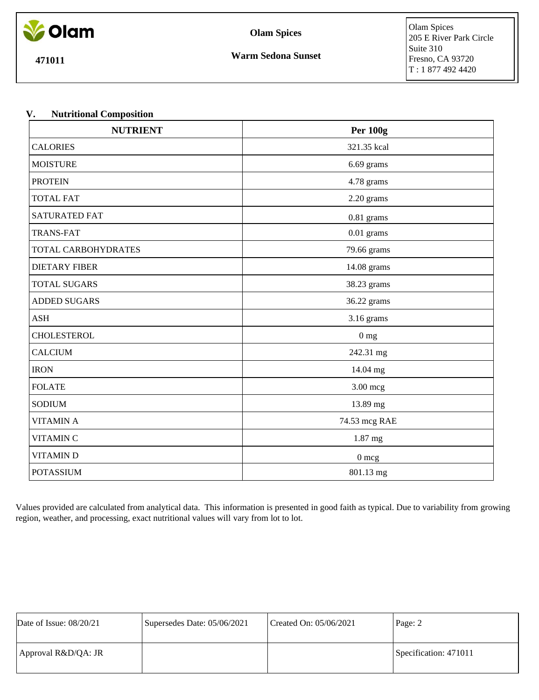

**Olam Spices**

**471011**

# **V. Nutritional Composition**

| <b>NUTRIENT</b>      | <b>Per 100g</b> |  |
|----------------------|-----------------|--|
| <b>CALORIES</b>      | 321.35 kcal     |  |
| <b>MOISTURE</b>      | 6.69 grams      |  |
| <b>PROTEIN</b>       | 4.78 grams      |  |
| <b>TOTAL FAT</b>     | 2.20 grams      |  |
| <b>SATURATED FAT</b> | $0.81$ grams    |  |
| <b>TRANS-FAT</b>     | $0.01$ grams    |  |
| TOTAL CARBOHYDRATES  | 79.66 grams     |  |
| <b>DIETARY FIBER</b> | 14.08 grams     |  |
| <b>TOTAL SUGARS</b>  | 38.23 grams     |  |
| <b>ADDED SUGARS</b>  | 36.22 grams     |  |
| <b>ASH</b>           | 3.16 grams      |  |
| <b>CHOLESTEROL</b>   | 0 <sub>mg</sub> |  |
| <b>CALCIUM</b>       | 242.31 mg       |  |
| <b>IRON</b>          | 14.04 mg        |  |
| <b>FOLATE</b>        | 3.00 mcg        |  |
| <b>SODIUM</b>        | 13.89 mg        |  |
| <b>VITAMIN A</b>     | 74.53 mcg RAE   |  |
| <b>VITAMIN C</b>     | 1.87 mg         |  |
| <b>VITAMIND</b>      | $0\:\rm{mcg}$   |  |
| <b>POTASSIUM</b>     | 801.13 mg       |  |

Values provided are calculated from analytical data. This information is presented in good faith as typical. Due to variability from growing region, weather, and processing, exact nutritional values will vary from lot to lot.

| Date of Issue: $08/20/21$ | Supersedes Date: 05/06/2021 | Created On: 05/06/2021 | Page: 2               |
|---------------------------|-----------------------------|------------------------|-----------------------|
| Approval R&D/QA: JR       |                             |                        | Specification: 471011 |